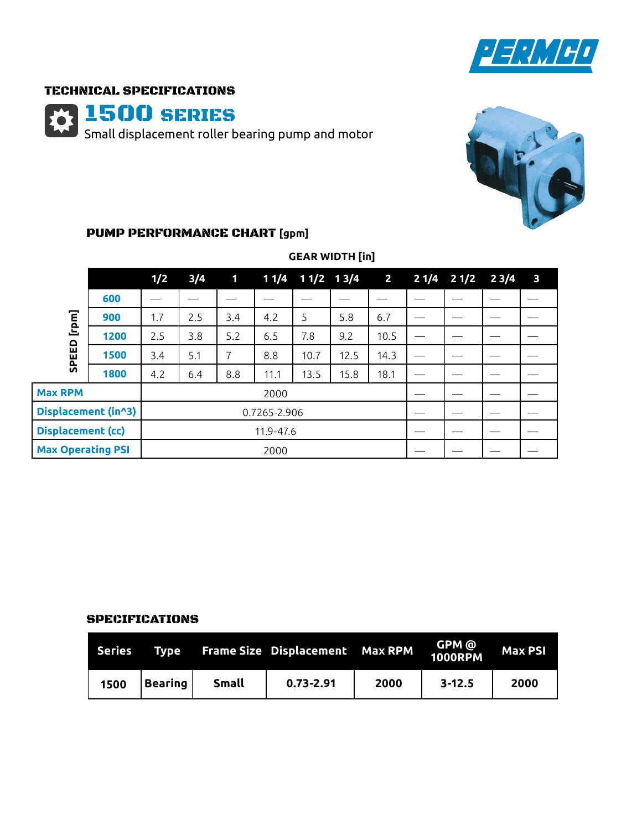

## TECHNICAL SPECIFICATIONS

1500 SERIES Small displacement roller bearing pump and motor



# PUMP PERFORMANCE CHART **[gpm]**

|                          |      | 1/2          | 3/4 | $\mathbf{1}$ |      | $11/4$ $11/2$ $13/4$ |      | $\overline{\mathbf{2}}$ | $21/4$ $21/2$ $23/4$ | $\overline{\mathbf{3}}$ |
|--------------------------|------|--------------|-----|--------------|------|----------------------|------|-------------------------|----------------------|-------------------------|
| [nou]<br>SPEED           | 600  |              |     |              |      |                      |      |                         |                      |                         |
|                          | 900  | 1.7          | 2.5 | 3.4          | 4.2  | 5                    | 5.8  | 6.7                     |                      |                         |
|                          | 1200 | 2.5          | 3.8 | 5.2          | 6.5  | 7.8                  | 9.2  | 10.5                    |                      |                         |
|                          | 1500 | 3.4          | 5.1 | 7            | 8.8  | 10.7                 | 12.5 | 14.3                    |                      |                         |
|                          | 1800 | 4.2          | 6.4 | 8.8          | 11.1 | 13.5                 | 15.8 | 18.1                    |                      |                         |
| <b>Max RPM</b>           |      | 2000         |     |              |      |                      |      |                         |                      |                         |
| Displacement (in^3)      |      | 0.7265-2.906 |     |              |      |                      |      |                         |                      |                         |
| <b>Displacement (cc)</b> |      | 11.9-47.6    |     |              |      |                      |      |                         |                      |                         |
| <b>Max Operating PSI</b> |      | 2000         |     |              |      |                      |      |                         |                      |                         |

# **GEAR WIDTH [in]**

### SPECIFICATIONS

| Series | Type    |              | <b>Frame Size Displacement Max RPM</b> |      | GPM @<br>1000RPM | Max PSI |
|--------|---------|--------------|----------------------------------------|------|------------------|---------|
| 1500   | Bearing | <b>Small</b> | $0.73 - 2.91$                          | 2000 | $3 - 12.5$       | 2000    |